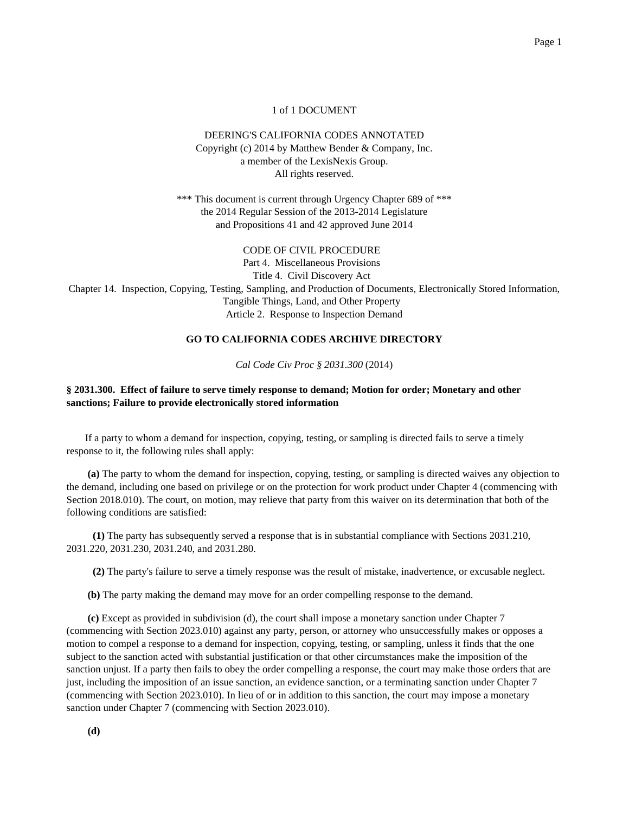## 1 of 1 DOCUMENT

## DEERING'S CALIFORNIA CODES ANNOTATED Copyright (c) 2014 by Matthew Bender & Company, Inc. a member of the LexisNexis Group. All rights reserved.

\*\*\* This document is current through Urgency Chapter 689 of \*\*\* the 2014 Regular Session of the 2013-2014 Legislature and Propositions 41 and 42 approved June 2014

CODE OF CIVIL PROCEDURE Part 4. Miscellaneous Provisions Title 4. Civil Discovery Act Chapter 14. Inspection, Copying, Testing, Sampling, and Production of Documents, Electronically Stored Information, Tangible Things, Land, and Other Property Article 2. Response to Inspection Demand

## **GO TO CALIFORNIA CODES ARCHIVE DIRECTORY**

*Cal Code Civ Proc § 2031.300* (2014)

## **§ 2031.300. Effect of failure to serve timely response to demand; Motion for order; Monetary and other sanctions; Failure to provide electronically stored information**

If a party to whom a demand for inspection, copying, testing, or sampling is directed fails to serve a timely response to it, the following rules shall apply:

**(a)** The party to whom the demand for inspection, copying, testing, or sampling is directed waives any objection to the demand, including one based on privilege or on the protection for work product under Chapter 4 (commencing with Section 2018.010). The court, on motion, may relieve that party from this waiver on its determination that both of the following conditions are satisfied:

**(1)** The party has subsequently served a response that is in substantial compliance with Sections 2031.210, 2031.220, 2031.230, 2031.240, and 2031.280.

**(2)** The party's failure to serve a timely response was the result of mistake, inadvertence, or excusable neglect.

**(b)** The party making the demand may move for an order compelling response to the demand.

**(c)** Except as provided in subdivision (d), the court shall impose a monetary sanction under Chapter 7 (commencing with Section 2023.010) against any party, person, or attorney who unsuccessfully makes or opposes a motion to compel a response to a demand for inspection, copying, testing, or sampling, unless it finds that the one subject to the sanction acted with substantial justification or that other circumstances make the imposition of the sanction unjust. If a party then fails to obey the order compelling a response, the court may make those orders that are just, including the imposition of an issue sanction, an evidence sanction, or a terminating sanction under Chapter 7 (commencing with Section 2023.010). In lieu of or in addition to this sanction, the court may impose a monetary sanction under Chapter 7 (commencing with Section 2023.010).